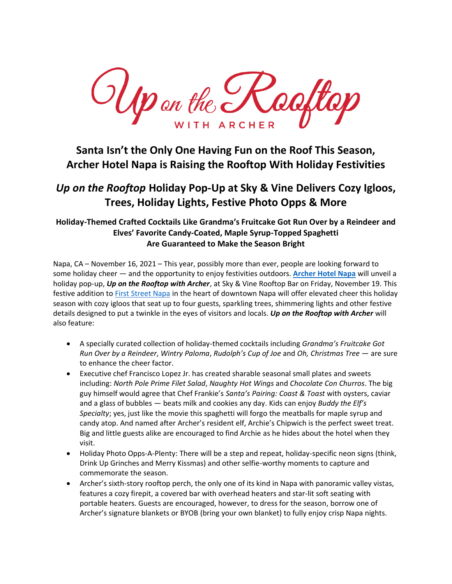$U(p)$  on the  $U$ Cooftop WITH ARCHER

# **Santa Isn't the Only One Having Fun on the Roof This Season, Archer Hotel Napa is Raising the Rooftop With Holiday Festivities**

## *Up on the Rooftop* **Holiday Pop-Up at Sky & Vine Delivers Cozy Igloos, Trees, Holiday Lights, Festive Photo Opps & More**

### **Holiday-Themed Crafted Cocktails Like Grandma's Fruitcake Got Run Over by a Reindeer and Elves' Favorite Candy-Coated, Maple Syrup-Topped Spaghetti Are Guaranteed to Make the Season Bright**

Napa, CA – November 16, 2021 – This year, possibly more than ever, people are looking forward to some holiday cheer — and the opportunity to enjoy festivities outdoors. **[Archer Hotel Napa](http://www.archerhotel.com/napa)** will unveil a holiday pop-up, *Up on the Rooftop with Archer*, at Sky & Vine Rooftop Bar on Friday, November 19. This festive addition to [First Street Napa](https://www.firststreetnapa.com/) in the heart of downtown Napa will offer elevated cheer this holiday season with cozy igloos that seat up to four guests, sparkling trees, shimmering lights and other festive details designed to put a twinkle in the eyes of visitors and locals. *Up on the Rooftop with Archer* will also feature:

- A specially curated collection of holiday-themed cocktails including *Grandma's Fruitcake Got Run Over by a Reindeer*, *Wintry Paloma*, *Rudolph's Cup of Joe* and *Oh, Christmas Tree* — are sure to enhance the cheer factor.
- Executive chef Francisco Lopez Jr. has created sharable seasonal small plates and sweets including: *North Pole Prime Filet Salad*, *Naughty Hot Wings* and *Chocolate Con Churros*. The big guy himself would agree that Chef Frankie's *Santa's Pairing: Coast & Toast* with oysters, caviar and a glass of bubbles — beats milk and cookies any day. Kids can enjoy *Buddy the Elf's Specialty*; yes, just like the movie this spaghetti will forgo the meatballs for maple syrup and candy atop. And named after Archer's resident elf, Archie's Chipwich is the perfect sweet treat. Big and little guests alike are encouraged to find Archie as he hides about the hotel when they visit.
- Holiday Photo Opps-A-Plenty: There will be a step and repeat, holiday-specific neon signs (think, Drink Up Grinches and Merry Kissmas) and other selfie-worthy moments to capture and commemorate the season.
- Archer's sixth-story rooftop perch, the only one of its kind in Napa with panoramic valley vistas, features a cozy firepit, a covered bar with overhead heaters and star-lit soft seating with portable heaters. Guests are encouraged, however, to dress for the season, borrow one of Archer's signature blankets or BYOB (bring your own blanket) to fully enjoy crisp Napa nights.